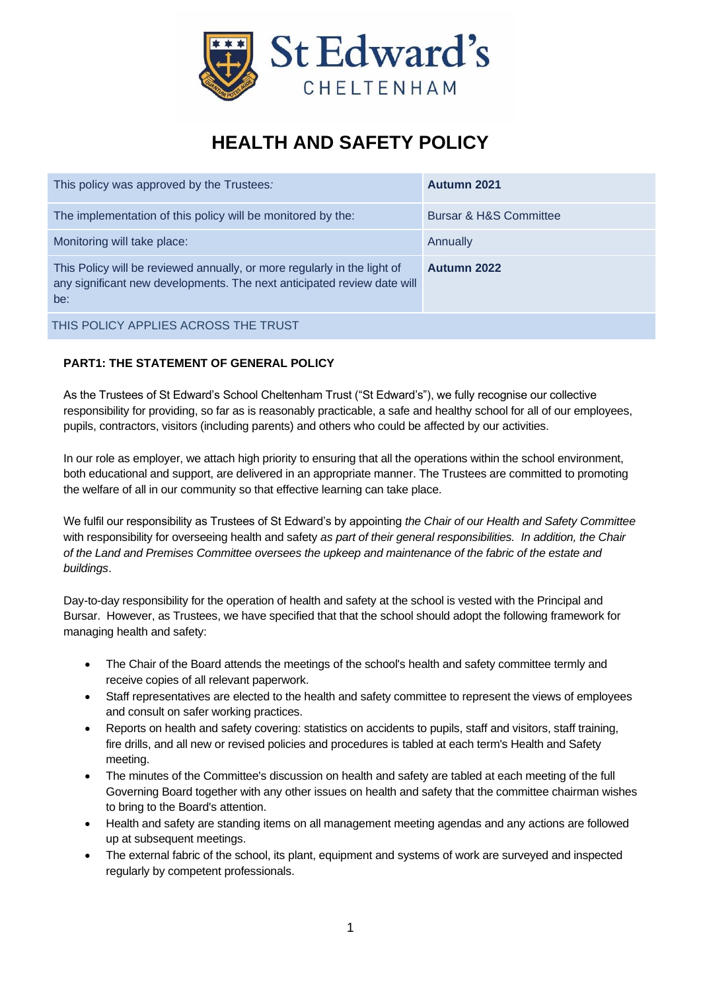

# **HEALTH AND SAFETY POLICY**

| This policy was approved by the Trustees:                                                                                                                  | <b>Autumn 2021</b>     |
|------------------------------------------------------------------------------------------------------------------------------------------------------------|------------------------|
| The implementation of this policy will be monitored by the:                                                                                                | Bursar & H&S Committee |
| Monitoring will take place:                                                                                                                                | Annually               |
| This Policy will be reviewed annually, or more regularly in the light of<br>any significant new developments. The next anticipated review date will<br>be: | <b>Autumn 2022</b>     |
| THIS POLICY APPLIES ACROSS THE TRUST                                                                                                                       |                        |

# **PART1: THE STATEMENT OF GENERAL POLICY**

As the Trustees of St Edward's School Cheltenham Trust ("St Edward's"), we fully recognise our collective responsibility for providing, so far as is reasonably practicable, a safe and healthy school for all of our employees, pupils, contractors, visitors (including parents) and others who could be affected by our activities.

In our role as employer, we attach high priority to ensuring that all the operations within the school environment, both educational and support, are delivered in an appropriate manner. The Trustees are committed to promoting the welfare of all in our community so that effective learning can take place.

We fulfil our responsibility as Trustees of St Edward's by appointing *the Chair of our Health and Safety Committee* with responsibility for overseeing health and safety *as part of their general responsibilities. In addition, the Chair of the Land and Premises Committee oversees the upkeep and maintenance of the fabric of the estate and buildings*.

Day-to-day responsibility for the operation of health and safety at the school is vested with the Principal and Bursar. However, as Trustees, we have specified that that the school should adopt the following framework for managing health and safety:

- The Chair of the Board attends the meetings of the school's health and safety committee termly and receive copies of all relevant paperwork.
- Staff representatives are elected to the health and safety committee to represent the views of employees and consult on safer working practices.
- Reports on health and safety covering: statistics on accidents to pupils, staff and visitors, staff training, fire drills, and all new or revised policies and procedures is tabled at each term's Health and Safety meeting.
- The minutes of the Committee's discussion on health and safety are tabled at each meeting of the full Governing Board together with any other issues on health and safety that the committee chairman wishes to bring to the Board's attention.
- Health and safety are standing items on all management meeting agendas and any actions are followed up at subsequent meetings.
- The external fabric of the school, its plant, equipment and systems of work are surveyed and inspected regularly by competent professionals.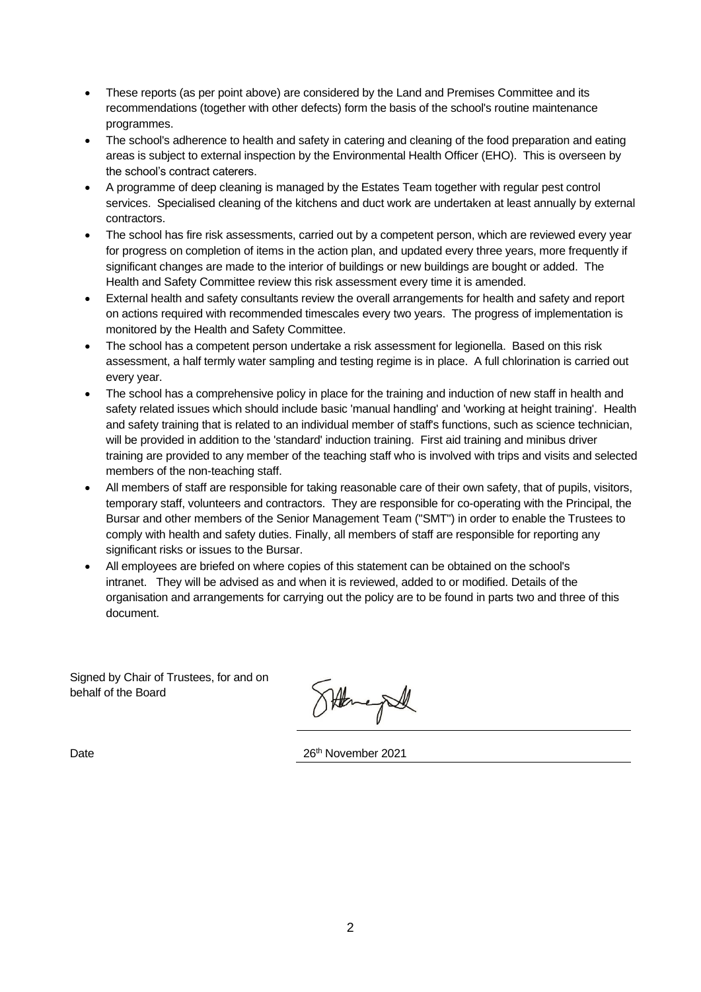- These reports (as per point above) are considered by the Land and Premises Committee and its recommendations (together with other defects) form the basis of the school's routine maintenance programmes.
- The school's adherence to health and safety in catering and cleaning of the food preparation and eating areas is subject to external inspection by the Environmental Health Officer (EHO). This is overseen by the school's contract caterers.
- A programme of deep cleaning is managed by the Estates Team together with regular pest control services. Specialised cleaning of the kitchens and duct work are undertaken at least annually by external contractors.
- The school has fire risk assessments, carried out by a competent person, which are reviewed every year for progress on completion of items in the action plan, and updated every three years, more frequently if significant changes are made to the interior of buildings or new buildings are bought or added. The Health and Safety Committee review this risk assessment every time it is amended.
- External health and safety consultants review the overall arrangements for health and safety and report on actions required with recommended timescales every two years. The progress of implementation is monitored by the Health and Safety Committee.
- The school has a competent person undertake a risk assessment for legionella. Based on this risk assessment, a half termly water sampling and testing regime is in place. A full chlorination is carried out every year.
- The school has a comprehensive policy in place for the training and induction of new staff in health and safety related issues which should include basic 'manual handling' and 'working at height training'. Health and safety training that is related to an individual member of staff's functions, such as science technician, will be provided in addition to the 'standard' induction training. First aid training and minibus driver training are provided to any member of the teaching staff who is involved with trips and visits and selected members of the non-teaching staff.
- All members of staff are responsible for taking reasonable care of their own safety, that of pupils, visitors, temporary staff, volunteers and contractors. They are responsible for co-operating with the Principal, the Bursar and other members of the Senior Management Team ("SMT") in order to enable the Trustees to comply with health and safety duties. Finally, all members of staff are responsible for reporting any significant risks or issues to the Bursar.
- All employees are briefed on where copies of this statement can be obtained on the school's intranet. They will be advised as and when it is reviewed, added to or modified. Details of the organisation and arrangements for carrying out the policy are to be found in parts two and three of this document.

Signed by Chair of Trustees, for and on behalf of the Board

Heneple

Date 2021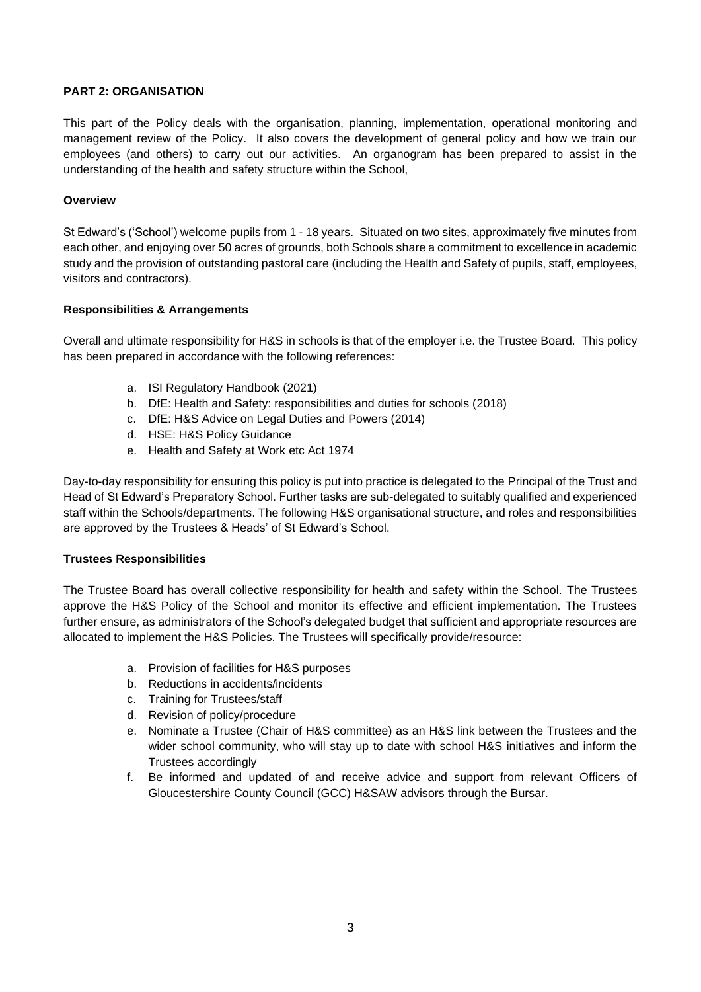#### **PART 2: ORGANISATION**

This part of the Policy deals with the organisation, planning, implementation, operational monitoring and management review of the Policy. It also covers the development of general policy and how we train our employees (and others) to carry out our activities. An organogram has been prepared to assist in the understanding of the health and safety structure within the School,

#### **Overview**

St Edward's ('School') welcome pupils from 1 - 18 years. Situated on two sites, approximately five minutes from each other, and enjoying over 50 acres of grounds, both Schools share a commitment to excellence in academic study and the provision of outstanding pastoral care (including the Health and Safety of pupils, staff, employees, visitors and contractors).

## **Responsibilities & Arrangements**

Overall and ultimate responsibility for H&S in schools is that of the employer i.e. the Trustee Board. This policy has been prepared in accordance with the following references:

- a. ISI Regulatory Handbook (2021)
- b. DfE: Health and Safety: responsibilities and duties for schools (2018)
- c. DfE: H&S Advice on Legal Duties and Powers (2014)
- d. HSE: H&S Policy Guidance
- e. Health and Safety at Work etc Act 1974

Day-to-day responsibility for ensuring this policy is put into practice is delegated to the Principal of the Trust and Head of St Edward's Preparatory School. Further tasks are sub-delegated to suitably qualified and experienced staff within the Schools/departments. The following H&S organisational structure, and roles and responsibilities are approved by the Trustees & Heads' of St Edward's School.

#### **Trustees Responsibilities**

The Trustee Board has overall collective responsibility for health and safety within the School. The Trustees approve the H&S Policy of the School and monitor its effective and efficient implementation. The Trustees further ensure, as administrators of the School's delegated budget that sufficient and appropriate resources are allocated to implement the H&S Policies. The Trustees will specifically provide/resource:

- a. Provision of facilities for H&S purposes
- b. Reductions in accidents/incidents
- c. Training for Trustees/staff
- d. Revision of policy/procedure
- e. Nominate a Trustee (Chair of H&S committee) as an H&S link between the Trustees and the wider school community, who will stay up to date with school H&S initiatives and inform the Trustees accordingly
- f. Be informed and updated of and receive advice and support from relevant Officers of Gloucestershire County Council (GCC) H&SAW advisors through the Bursar.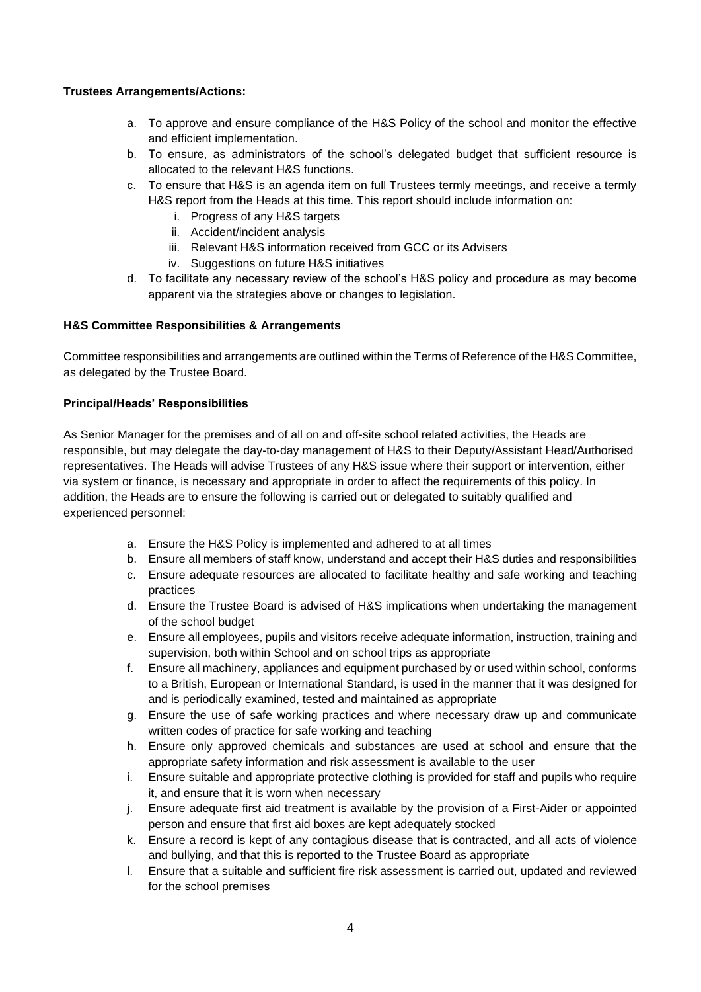## **Trustees Arrangements/Actions:**

- a. To approve and ensure compliance of the H&S Policy of the school and monitor the effective and efficient implementation.
- b. To ensure, as administrators of the school's delegated budget that sufficient resource is allocated to the relevant H&S functions.
- c. To ensure that H&S is an agenda item on full Trustees termly meetings, and receive a termly H&S report from the Heads at this time. This report should include information on:
	- i. Progress of any H&S targets
	- ii. Accident/incident analysis
	- iii. Relevant H&S information received from GCC or its Advisers
	- iv. Suggestions on future H&S initiatives
- d. To facilitate any necessary review of the school's H&S policy and procedure as may become apparent via the strategies above or changes to legislation.

#### **H&S Committee Responsibilities & Arrangements**

Committee responsibilities and arrangements are outlined within the Terms of Reference of the H&S Committee, as delegated by the Trustee Board.

#### **Principal/Heads' Responsibilities**

As Senior Manager for the premises and of all on and off-site school related activities, the Heads are responsible, but may delegate the day-to-day management of H&S to their Deputy/Assistant Head/Authorised representatives. The Heads will advise Trustees of any H&S issue where their support or intervention, either via system or finance, is necessary and appropriate in order to affect the requirements of this policy. In addition, the Heads are to ensure the following is carried out or delegated to suitably qualified and experienced personnel:

- a. Ensure the H&S Policy is implemented and adhered to at all times
- b. Ensure all members of staff know, understand and accept their H&S duties and responsibilities
- c. Ensure adequate resources are allocated to facilitate healthy and safe working and teaching practices
- d. Ensure the Trustee Board is advised of H&S implications when undertaking the management of the school budget
- e. Ensure all employees, pupils and visitors receive adequate information, instruction, training and supervision, both within School and on school trips as appropriate
- f. Ensure all machinery, appliances and equipment purchased by or used within school, conforms to a British, European or International Standard, is used in the manner that it was designed for and is periodically examined, tested and maintained as appropriate
- g. Ensure the use of safe working practices and where necessary draw up and communicate written codes of practice for safe working and teaching
- h. Ensure only approved chemicals and substances are used at school and ensure that the appropriate safety information and risk assessment is available to the user
- i. Ensure suitable and appropriate protective clothing is provided for staff and pupils who require it, and ensure that it is worn when necessary
- j. Ensure adequate first aid treatment is available by the provision of a First-Aider or appointed person and ensure that first aid boxes are kept adequately stocked
- k. Ensure a record is kept of any contagious disease that is contracted, and all acts of violence and bullying, and that this is reported to the Trustee Board as appropriate
- l. Ensure that a suitable and sufficient fire risk assessment is carried out, updated and reviewed for the school premises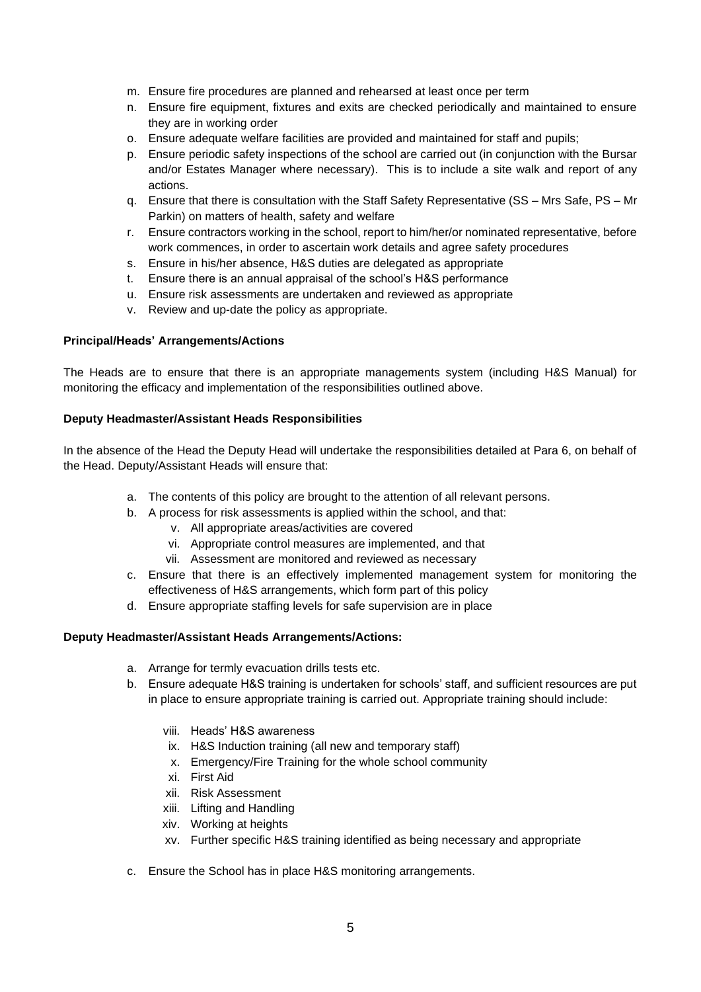- m. Ensure fire procedures are planned and rehearsed at least once per term
- n. Ensure fire equipment, fixtures and exits are checked periodically and maintained to ensure they are in working order
- o. Ensure adequate welfare facilities are provided and maintained for staff and pupils;
- p. Ensure periodic safety inspections of the school are carried out (in conjunction with the Bursar and/or Estates Manager where necessary). This is to include a site walk and report of any actions.
- q. Ensure that there is consultation with the Staff Safety Representative (SS Mrs Safe, PS Mr Parkin) on matters of health, safety and welfare
- r. Ensure contractors working in the school, report to him/her/or nominated representative, before work commences, in order to ascertain work details and agree safety procedures
- s. Ensure in his/her absence, H&S duties are delegated as appropriate
- t. Ensure there is an annual appraisal of the school's H&S performance
- u. Ensure risk assessments are undertaken and reviewed as appropriate
- v. Review and up-date the policy as appropriate.

#### **Principal/Heads' Arrangements/Actions**

The Heads are to ensure that there is an appropriate managements system (including H&S Manual) for monitoring the efficacy and implementation of the responsibilities outlined above.

#### **Deputy Headmaster/Assistant Heads Responsibilities**

In the absence of the Head the Deputy Head will undertake the responsibilities detailed at Para 6, on behalf of the Head. Deputy/Assistant Heads will ensure that:

- a. The contents of this policy are brought to the attention of all relevant persons.
- b. A process for risk assessments is applied within the school, and that:
	- v. All appropriate areas/activities are covered
	- vi. Appropriate control measures are implemented, and that
	- vii. Assessment are monitored and reviewed as necessary
- c. Ensure that there is an effectively implemented management system for monitoring the effectiveness of H&S arrangements, which form part of this policy
- d. Ensure appropriate staffing levels for safe supervision are in place

#### **Deputy Headmaster/Assistant Heads Arrangements/Actions:**

- a. Arrange for termly evacuation drills tests etc.
- b. Ensure adequate H&S training is undertaken for schools' staff, and sufficient resources are put in place to ensure appropriate training is carried out. Appropriate training should include:
	- viii. Heads' H&S awareness
	- ix. H&S Induction training (all new and temporary staff)
	- x. Emergency/Fire Training for the whole school community
	- xi. First Aid
	- xii. Risk Assessment
	- xiii. Lifting and Handling
	- xiv. Working at heights
	- xv. Further specific H&S training identified as being necessary and appropriate
- c. Ensure the School has in place H&S monitoring arrangements.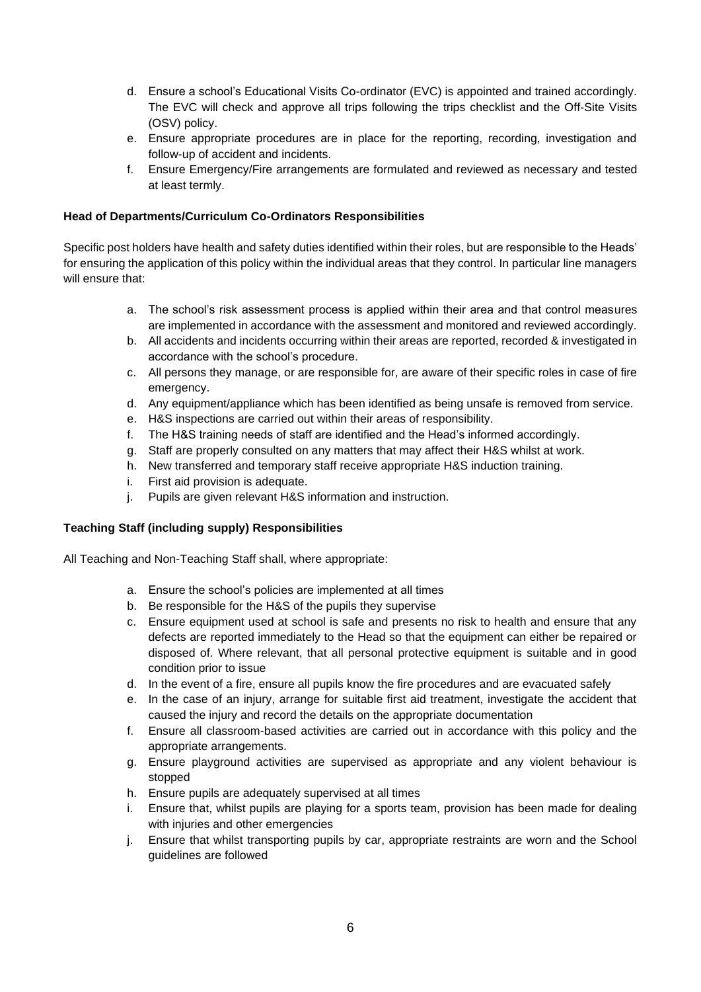- d. Ensure a school's Educational Visits Co-ordinator (EVC) is appointed and trained accordingly. The EVC will check and approve all trips following the trips checklist and the Off-Site Visits (OSV) policy.
- e. Ensure appropriate procedures are in place for the reporting, recording, investigation and follow-up of accident and incidents.
- f. Ensure Emergency/Fire arrangements are formulated and reviewed as necessary and tested at least termly.

## **Head of Departments/Curriculum Co-Ordinators Responsibilities**

Specific post holders have health and safety duties identified within their roles, but are responsible to the Heads' for ensuring the application of this policy within the individual areas that they control. In particular line managers will ensure that:

- a. The school's risk assessment process is applied within their area and that control measures are implemented in accordance with the assessment and monitored and reviewed accordingly.
- b. All accidents and incidents occurring within their areas are reported, recorded & investigated in accordance with the school's procedure.
- c. All persons they manage, or are responsible for, are aware of their specific roles in case of fire emergency.
- d. Any equipment/appliance which has been identified as being unsafe is removed from service.
- e. H&S inspections are carried out within their areas of responsibility.
- f. The H&S training needs of staff are identified and the Head's informed accordingly.
- g. Staff are properly consulted on any matters that may affect their H&S whilst at work.
- h. New transferred and temporary staff receive appropriate H&S induction training.
- i. First aid provision is adequate.
- j. Pupils are given relevant H&S information and instruction.

#### **Teaching Staff (including supply) Responsibilities**

All Teaching and Non-Teaching Staff shall, where appropriate:

- a. Ensure the school's policies are implemented at all times
- b. Be responsible for the H&S of the pupils they supervise
- c. Ensure equipment used at school is safe and presents no risk to health and ensure that any defects are reported immediately to the Head so that the equipment can either be repaired or disposed of. Where relevant, that all personal protective equipment is suitable and in good condition prior to issue
- d. In the event of a fire, ensure all pupils know the fire procedures and are evacuated safely
- e. In the case of an injury, arrange for suitable first aid treatment, investigate the accident that caused the injury and record the details on the appropriate documentation
- f. Ensure all classroom-based activities are carried out in accordance with this policy and the appropriate arrangements.
- g. Ensure playground activities are supervised as appropriate and any violent behaviour is stopped
- h. Ensure pupils are adequately supervised at all times
- i. Ensure that, whilst pupils are playing for a sports team, provision has been made for dealing with injuries and other emergencies
- j. Ensure that whilst transporting pupils by car, appropriate restraints are worn and the School guidelines are followed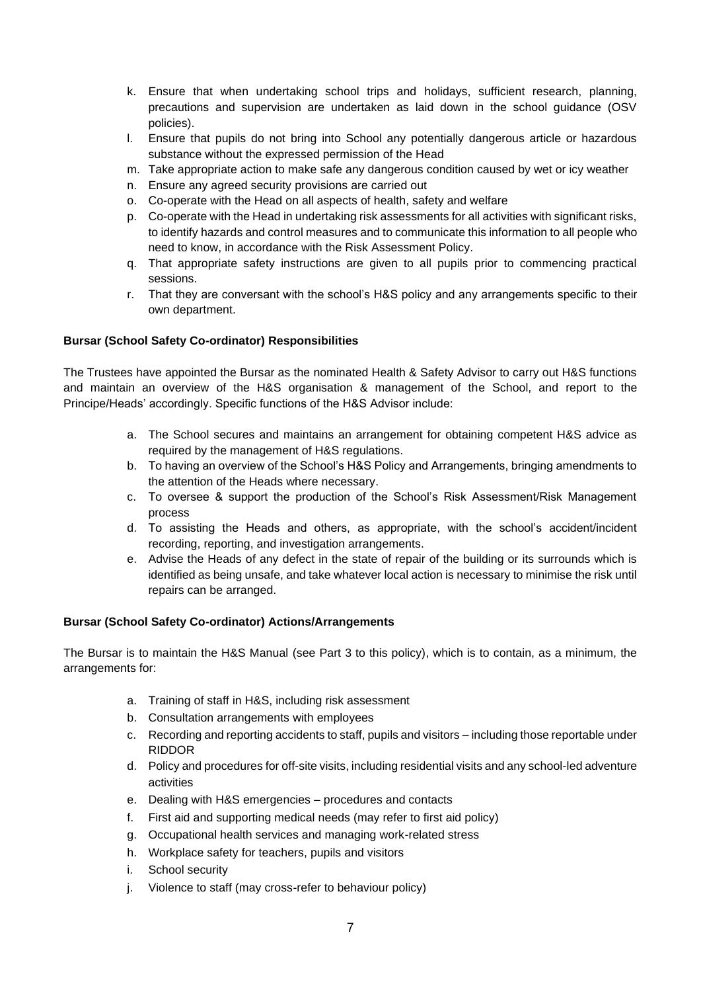- k. Ensure that when undertaking school trips and holidays, sufficient research, planning, precautions and supervision are undertaken as laid down in the school guidance (OSV policies).
- l. Ensure that pupils do not bring into School any potentially dangerous article or hazardous substance without the expressed permission of the Head
- m. Take appropriate action to make safe any dangerous condition caused by wet or icy weather
- n. Ensure any agreed security provisions are carried out
- o. Co-operate with the Head on all aspects of health, safety and welfare
- p. Co-operate with the Head in undertaking risk assessments for all activities with significant risks, to identify hazards and control measures and to communicate this information to all people who need to know, in accordance with the Risk Assessment Policy.
- q. That appropriate safety instructions are given to all pupils prior to commencing practical sessions.
- r. That they are conversant with the school's H&S policy and any arrangements specific to their own department.

## **Bursar (School Safety Co-ordinator) Responsibilities**

The Trustees have appointed the Bursar as the nominated Health & Safety Advisor to carry out H&S functions and maintain an overview of the H&S organisation & management of the School, and report to the Principe/Heads' accordingly. Specific functions of the H&S Advisor include:

- a. The School secures and maintains an arrangement for obtaining competent H&S advice as required by the management of H&S regulations.
- b. To having an overview of the School's H&S Policy and Arrangements, bringing amendments to the attention of the Heads where necessary.
- c. To oversee & support the production of the School's Risk Assessment/Risk Management process
- d. To assisting the Heads and others, as appropriate, with the school's accident/incident recording, reporting, and investigation arrangements.
- e. Advise the Heads of any defect in the state of repair of the building or its surrounds which is identified as being unsafe, and take whatever local action is necessary to minimise the risk until repairs can be arranged.

#### **Bursar (School Safety Co-ordinator) Actions/Arrangements**

The Bursar is to maintain the H&S Manual (see Part 3 to this policy), which is to contain, as a minimum, the arrangements for:

- a. Training of staff in H&S, including risk assessment
- b. Consultation arrangements with employees
- c. Recording and reporting accidents to staff, pupils and visitors including those reportable under RIDDOR
- d. Policy and procedures for off-site visits, including residential visits and any school-led adventure activities
- e. Dealing with H&S emergencies procedures and contacts
- f. First aid and supporting medical needs (may refer to first aid policy)
- g. Occupational health services and managing work-related stress
- h. Workplace safety for teachers, pupils and visitors
- i. School security
- j. Violence to staff (may cross-refer to behaviour policy)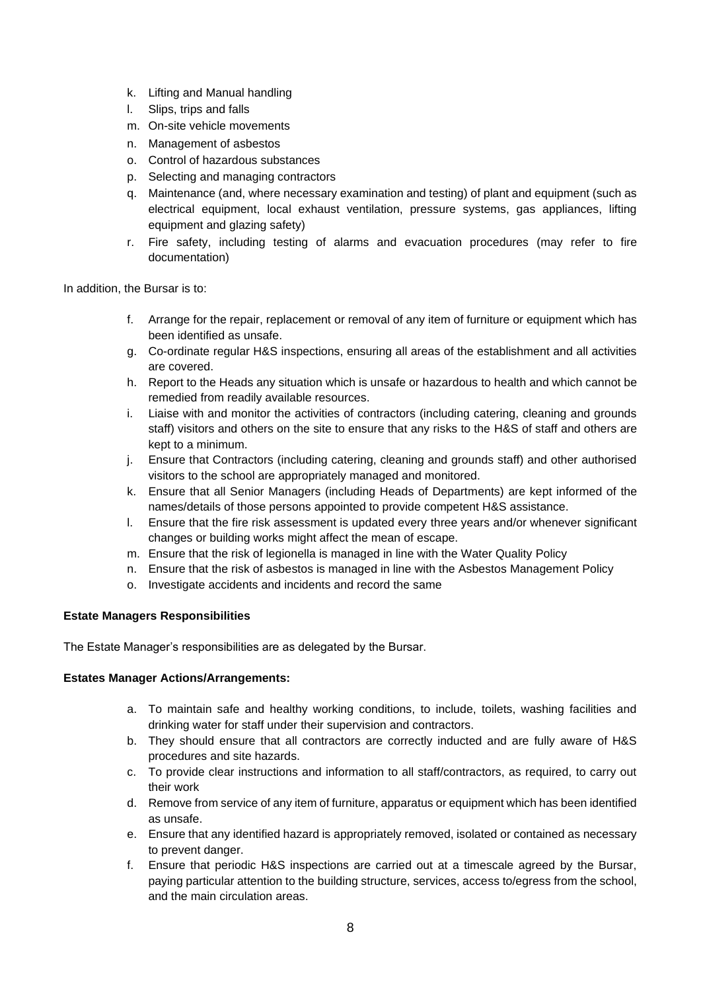- k. Lifting and Manual handling
- l. Slips, trips and falls
- m. On-site vehicle movements
- n. Management of asbestos
- o. Control of hazardous substances
- p. Selecting and managing contractors
- q. Maintenance (and, where necessary examination and testing) of plant and equipment (such as electrical equipment, local exhaust ventilation, pressure systems, gas appliances, lifting equipment and glazing safety)
- r. Fire safety, including testing of alarms and evacuation procedures (may refer to fire documentation)

In addition, the Bursar is to:

- f. Arrange for the repair, replacement or removal of any item of furniture or equipment which has been identified as unsafe.
- g. Co-ordinate regular H&S inspections, ensuring all areas of the establishment and all activities are covered.
- h. Report to the Heads any situation which is unsafe or hazardous to health and which cannot be remedied from readily available resources.
- i. Liaise with and monitor the activities of contractors (including catering, cleaning and grounds staff) visitors and others on the site to ensure that any risks to the H&S of staff and others are kept to a minimum.
- j. Ensure that Contractors (including catering, cleaning and grounds staff) and other authorised visitors to the school are appropriately managed and monitored.
- k. Ensure that all Senior Managers (including Heads of Departments) are kept informed of the names/details of those persons appointed to provide competent H&S assistance.
- l. Ensure that the fire risk assessment is updated every three years and/or whenever significant changes or building works might affect the mean of escape.
- m. Ensure that the risk of legionella is managed in line with the Water Quality Policy
- n. Ensure that the risk of asbestos is managed in line with the Asbestos Management Policy
- o. Investigate accidents and incidents and record the same

#### **Estate Managers Responsibilities**

The Estate Manager's responsibilities are as delegated by the Bursar.

#### **Estates Manager Actions/Arrangements:**

- a. To maintain safe and healthy working conditions, to include, toilets, washing facilities and drinking water for staff under their supervision and contractors.
- b. They should ensure that all contractors are correctly inducted and are fully aware of H&S procedures and site hazards.
- c. To provide clear instructions and information to all staff/contractors, as required, to carry out their work
- d. Remove from service of any item of furniture, apparatus or equipment which has been identified as unsafe.
- e. Ensure that any identified hazard is appropriately removed, isolated or contained as necessary to prevent danger.
- f. Ensure that periodic H&S inspections are carried out at a timescale agreed by the Bursar, paying particular attention to the building structure, services, access to/egress from the school, and the main circulation areas.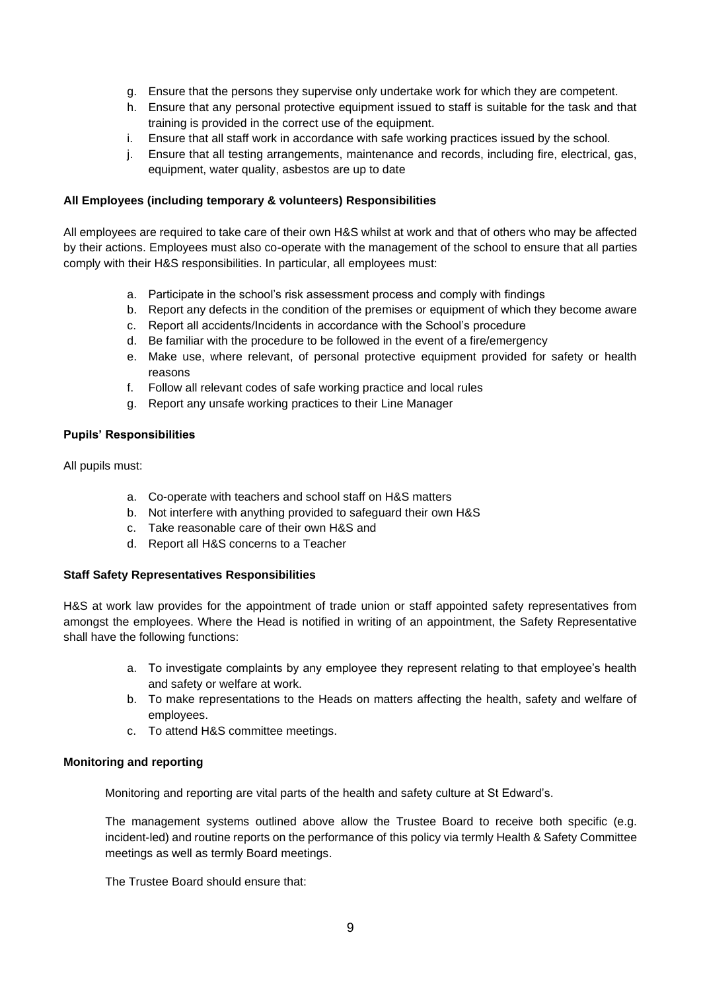- g. Ensure that the persons they supervise only undertake work for which they are competent.
- h. Ensure that any personal protective equipment issued to staff is suitable for the task and that training is provided in the correct use of the equipment.
- i. Ensure that all staff work in accordance with safe working practices issued by the school.
- j. Ensure that all testing arrangements, maintenance and records, including fire, electrical, gas, equipment, water quality, asbestos are up to date

#### **All Employees (including temporary & volunteers) Responsibilities**

All employees are required to take care of their own H&S whilst at work and that of others who may be affected by their actions. Employees must also co-operate with the management of the school to ensure that all parties comply with their H&S responsibilities. In particular, all employees must:

- a. Participate in the school's risk assessment process and comply with findings
- b. Report any defects in the condition of the premises or equipment of which they become aware
- c. Report all accidents/Incidents in accordance with the School's procedure
- d. Be familiar with the procedure to be followed in the event of a fire/emergency
- e. Make use, where relevant, of personal protective equipment provided for safety or health reasons
- f. Follow all relevant codes of safe working practice and local rules
- g. Report any unsafe working practices to their Line Manager

#### **Pupils' Responsibilities**

All pupils must:

- a. Co-operate with teachers and school staff on H&S matters
- b. Not interfere with anything provided to safeguard their own H&S
- c. Take reasonable care of their own H&S and
- d. Report all H&S concerns to a Teacher

#### **Staff Safety Representatives Responsibilities**

H&S at work law provides for the appointment of trade union or staff appointed safety representatives from amongst the employees. Where the Head is notified in writing of an appointment, the Safety Representative shall have the following functions:

- a. To investigate complaints by any employee they represent relating to that employee's health and safety or welfare at work.
- b. To make representations to the Heads on matters affecting the health, safety and welfare of employees.
- c. To attend H&S committee meetings.

#### **Monitoring and reporting**

Monitoring and reporting are vital parts of the health and safety culture at St Edward's.

The management systems outlined above allow the Trustee Board to receive both specific (e.g. incident-led) and routine reports on the performance of this policy via termly Health & Safety Committee meetings as well as termly Board meetings.

The Trustee Board should ensure that: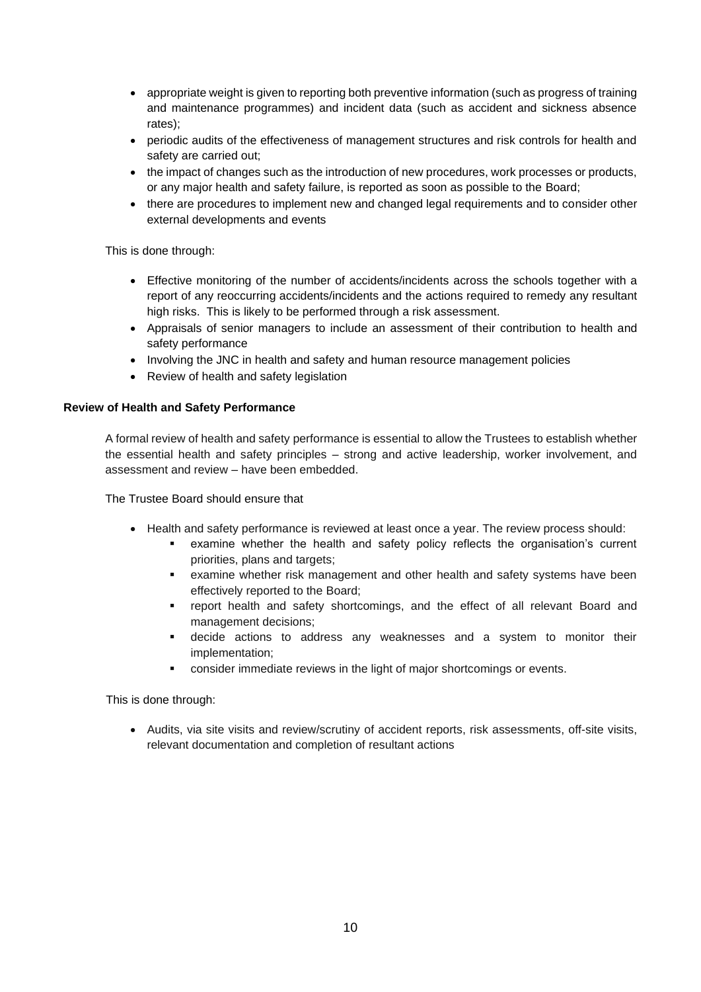- appropriate weight is given to reporting both preventive information (such as progress of training and maintenance programmes) and incident data (such as accident and sickness absence rates);
- periodic audits of the effectiveness of management structures and risk controls for health and safety are carried out;
- the impact of changes such as the introduction of new procedures, work processes or products, or any major health and safety failure, is reported as soon as possible to the Board;
- there are procedures to implement new and changed legal requirements and to consider other external developments and events

This is done through:

- Effective monitoring of the number of accidents/incidents across the schools together with a report of any reoccurring accidents/incidents and the actions required to remedy any resultant high risks. This is likely to be performed through a risk assessment.
- Appraisals of senior managers to include an assessment of their contribution to health and safety performance
- Involving the JNC in health and safety and human resource management policies
- Review of health and safety legislation

## **Review of Health and Safety Performance**

A formal review of health and safety performance is essential to allow the Trustees to establish whether the essential health and safety principles – strong and active leadership, worker involvement, and assessment and review – have been embedded.

The Trustee Board should ensure that

- Health and safety performance is reviewed at least once a year. The review process should:
	- examine whether the health and safety policy reflects the organisation's current priorities, plans and targets;
	- examine whether risk management and other health and safety systems have been effectively reported to the Board;
	- report health and safety shortcomings, and the effect of all relevant Board and management decisions;
	- decide actions to address any weaknesses and a system to monitor their implementation;
	- consider immediate reviews in the light of major shortcomings or events.

This is done through:

• Audits, via site visits and review/scrutiny of accident reports, risk assessments, off-site visits, relevant documentation and completion of resultant actions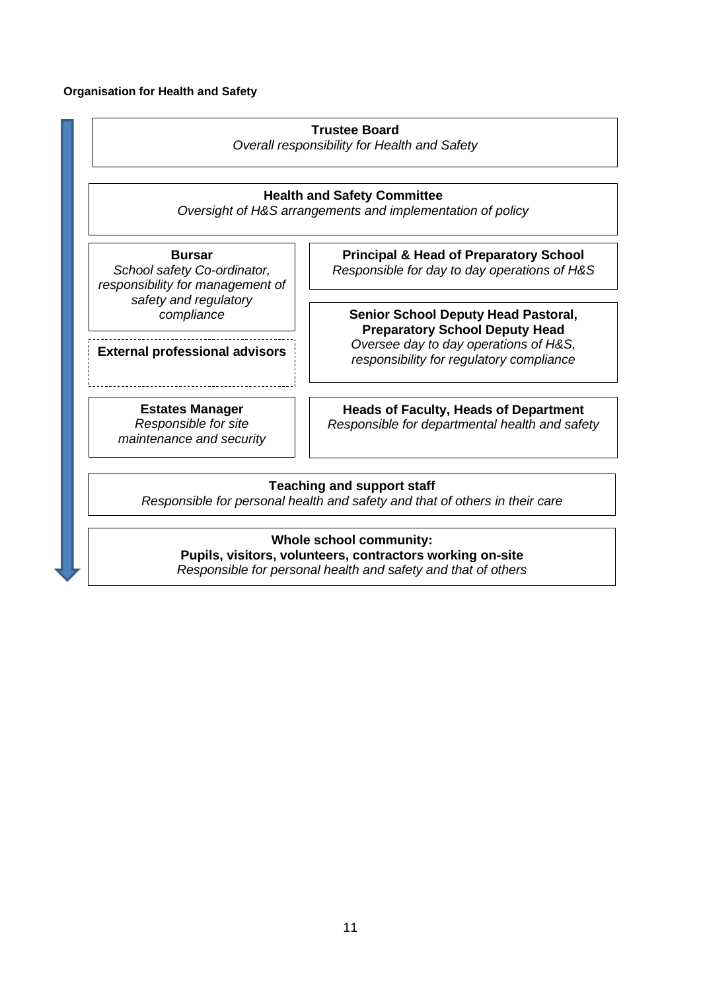# **Organisation for Health and Safety**

|                                                                                                  | <b>Trustee Board</b><br>Overall responsibility for Health and Safety                                                                                         |  |
|--------------------------------------------------------------------------------------------------|--------------------------------------------------------------------------------------------------------------------------------------------------------------|--|
| <b>Health and Safety Committee</b><br>Oversight of H&S arrangements and implementation of policy |                                                                                                                                                              |  |
| <b>Bursar</b><br>School safety Co-ordinator,<br>responsibility for management of                 | <b>Principal &amp; Head of Preparatory School</b><br>Responsible for day to day operations of H&S                                                            |  |
| safety and regulatory<br>compliance                                                              | <b>Senior School Deputy Head Pastoral,</b><br><b>Preparatory School Deputy Head</b>                                                                          |  |
| <b>External professional advisors</b>                                                            | Oversee day to day operations of H&S,<br>responsibility for regulatory compliance                                                                            |  |
| <b>Estates Manager</b><br>Responsible for site<br>maintenance and security                       | <b>Heads of Faculty, Heads of Department</b><br>Responsible for departmental health and safety                                                               |  |
|                                                                                                  | <b>Teaching and support staff</b><br>Responsible for personal health and safety and that of others in their care                                             |  |
|                                                                                                  | <b>Whole school community:</b><br>Pupils, visitors, volunteers, contractors working on-site<br>Responsible for personal health and safety and that of others |  |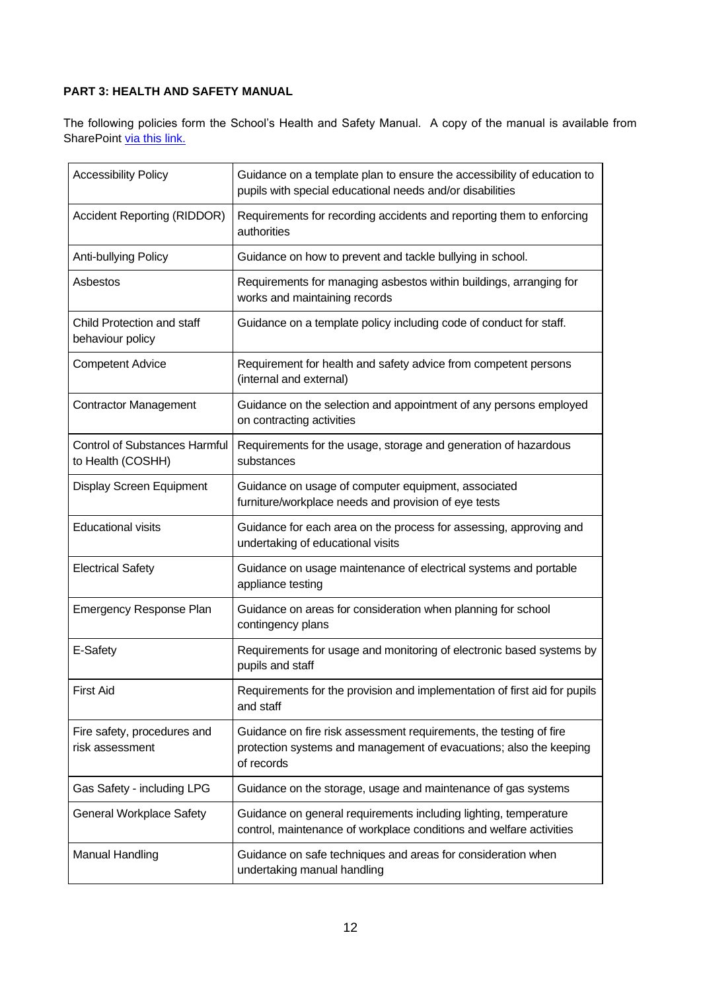# **PART 3: HEALTH AND SAFETY MANUAL**

The following policies form the School's Health and Safety Manual. A copy of the manual is available from SharePoint [via this link.](https://stedwardsschool.sharepoint.com/:f:/s/schoolbursary/Ev8FmK2EdTNLoqYnYeXkC-MB2Z7GNkM4Soi7TZvNpHFMCA?e=gja1Do)

| <b>Accessibility Policy</b>                               | Guidance on a template plan to ensure the accessibility of education to<br>pupils with special educational needs and/or disabilities                   |
|-----------------------------------------------------------|--------------------------------------------------------------------------------------------------------------------------------------------------------|
| <b>Accident Reporting (RIDDOR)</b>                        | Requirements for recording accidents and reporting them to enforcing<br>authorities                                                                    |
| Anti-bullying Policy                                      | Guidance on how to prevent and tackle bullying in school.                                                                                              |
| Asbestos                                                  | Requirements for managing asbestos within buildings, arranging for<br>works and maintaining records                                                    |
| Child Protection and staff<br>behaviour policy            | Guidance on a template policy including code of conduct for staff.                                                                                     |
| <b>Competent Advice</b>                                   | Requirement for health and safety advice from competent persons<br>(internal and external)                                                             |
| <b>Contractor Management</b>                              | Guidance on the selection and appointment of any persons employed<br>on contracting activities                                                         |
| <b>Control of Substances Harmful</b><br>to Health (COSHH) | Requirements for the usage, storage and generation of hazardous<br>substances                                                                          |
| Display Screen Equipment                                  | Guidance on usage of computer equipment, associated<br>furniture/workplace needs and provision of eye tests                                            |
| <b>Educational visits</b>                                 | Guidance for each area on the process for assessing, approving and<br>undertaking of educational visits                                                |
| <b>Electrical Safety</b>                                  | Guidance on usage maintenance of electrical systems and portable<br>appliance testing                                                                  |
| Emergency Response Plan                                   | Guidance on areas for consideration when planning for school<br>contingency plans                                                                      |
| E-Safety                                                  | Requirements for usage and monitoring of electronic based systems by<br>pupils and staff                                                               |
| <b>First Aid</b>                                          | Requirements for the provision and implementation of first aid for pupils<br>and staff                                                                 |
| Fire safety, procedures and<br>risk assessment            | Guidance on fire risk assessment requirements, the testing of fire<br>protection systems and management of evacuations; also the keeping<br>of records |
| Gas Safety - including LPG                                | Guidance on the storage, usage and maintenance of gas systems                                                                                          |
| <b>General Workplace Safety</b>                           | Guidance on general requirements including lighting, temperature<br>control, maintenance of workplace conditions and welfare activities                |
| <b>Manual Handling</b>                                    | Guidance on safe techniques and areas for consideration when<br>undertaking manual handling                                                            |